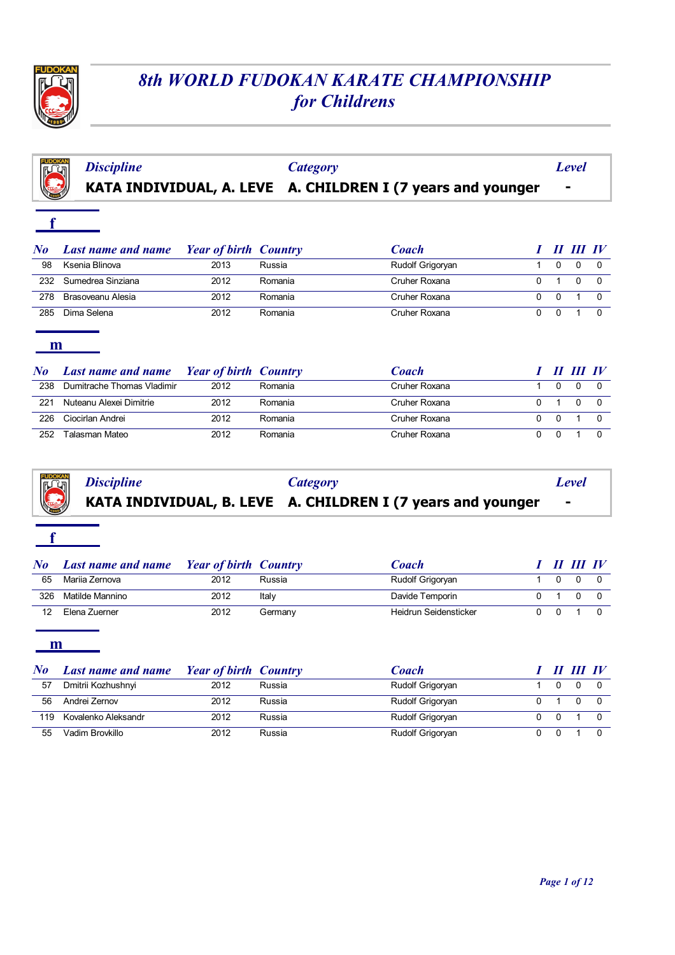

**f**

# *8th WORLD FUDOKAN KARATE CHAMPIONSHIP for Childrens*

|  |                                                                                           | Level |
|--|-------------------------------------------------------------------------------------------|-------|
|  | Discipline Category<br><b>KATA INDIVIDUAL, A. LEVE A. CHILDREN I (7 years and younger</b> |       |

| $\bm{No}$ | <b>Last name and name</b> | <b>Year of birth Country</b> |         | Coach            |  | II III IV |  |
|-----------|---------------------------|------------------------------|---------|------------------|--|-----------|--|
| 98        | Ksenia Blinova            | 2013                         | Russia  | Rudolf Grigoryan |  |           |  |
| 232       | Sumedrea Sinziana         | 2012                         | Romania | Cruher Roxana    |  |           |  |
| 278       | Brasoveanu Alesia         | 2012                         | Romania | Cruher Roxana    |  |           |  |
| 285       | Dima Selena               | 2012                         | Romania | Cruher Roxana    |  |           |  |

#### **m**

| $N$ o | <b>Last name and name</b> Year of birth Country |      |         | <b>Coach</b>  |  | II III IV |  |
|-------|-------------------------------------------------|------|---------|---------------|--|-----------|--|
| 238   | Dumitrache Thomas Vladimir                      | 2012 | Romania | Cruher Roxana |  |           |  |
| 221   | Nuteanu Alexei Dimitrie                         | 2012 | Romania | Cruher Roxana |  |           |  |
| 226   | Ciocirlan Andrei                                | 2012 | Romania | Cruher Roxana |  |           |  |
| 252   | Talasman Mateo                                  | 2012 | Romania | Cruher Roxana |  |           |  |

|  | <i>Category</i><br><b>EXALCE A. CHILDREN I (7 years and younger</b><br><b>EXALCE A. CHILDREN I (7 years and younger</b> | Level |
|--|-------------------------------------------------------------------------------------------------------------------------|-------|
|  |                                                                                                                         |       |

| $N_{0}$ | <b>Last name and name</b> Year of birth Country |      |         | <b>Coach</b>          |          | II III IV |  |
|---------|-------------------------------------------------|------|---------|-----------------------|----------|-----------|--|
| 65      | Mariia Zernova                                  | 2012 | Russia  | Rudolf Grigoryan      | $\Omega$ |           |  |
| 326     | Matilde Mannino                                 | 2012 | Italy   | Davide Temporin       |          |           |  |
| 12      | Elena Zuerner                                   | 2012 | Germany | Heidrun Seidensticker | - റ      |           |  |

#### **m**

**f**

ľ

| $\bm{N}$ o | <b>Last name and name</b> | <b>Year of birth Country</b> |        | Coach            | ,,, | III IV |  |
|------------|---------------------------|------------------------------|--------|------------------|-----|--------|--|
| 57         | Dmitrii Kozhushnyi        | 2012                         | Russia | Rudolf Grigoryan |     |        |  |
| 56         | Andrei Zernov             | 2012                         | Russia | Rudolf Grigoryan |     |        |  |
| 119        | Kovalenko Aleksandr       | 2012                         | Russia | Rudolf Grigoryan |     |        |  |
| 55         | Vadim Brovkillo           | 2012                         | Russia | Rudolf Grigoryan |     |        |  |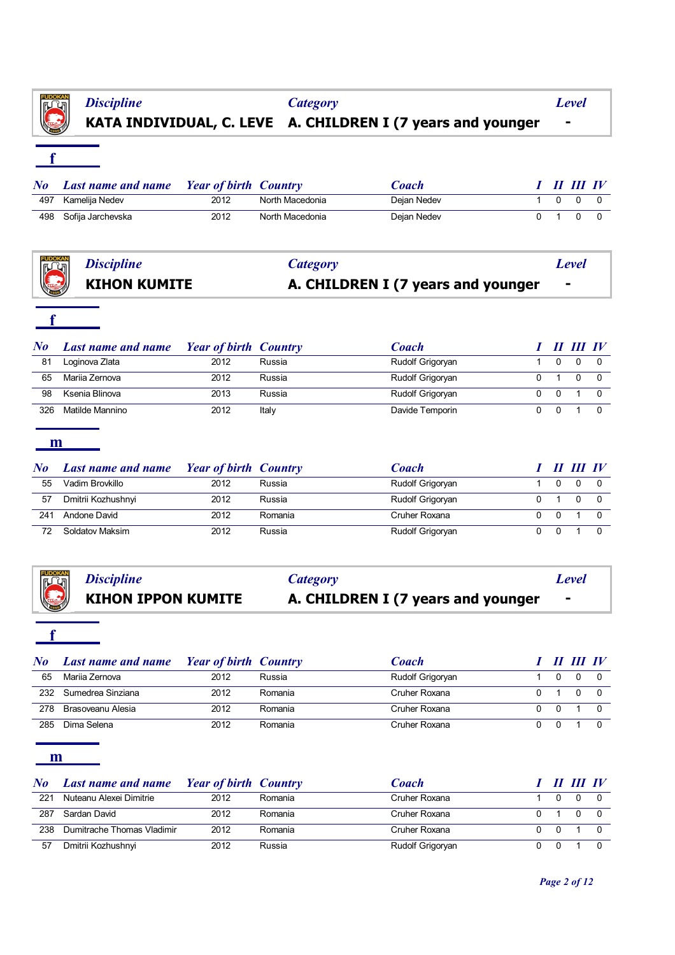

**f**

## **KATA INDIVIDUAL, C. LEVE A. CHILDREN I (7 years and younger -** *Discipline Category Level*

|     | No Last name and name Year of birth Country |      |                 | Coach       |  | I II III IV |  |
|-----|---------------------------------------------|------|-----------------|-------------|--|-------------|--|
| 497 | Kamelija Nedev                              | 2012 | North Macedonia | Dejan Nedev |  | 1000        |  |
|     | 498 Sofija Jarchevska                       | 2012 | North Macedonia | Dejan Nedev |  | . റ         |  |

|                                              | Category                           | <b>Level</b>   |
|----------------------------------------------|------------------------------------|----------------|
| Discipline<br>KIHON K<br><b>KIHON KUMITE</b> | A. CHILDREN I (7 years and younger | $\blacksquare$ |

## **f**

| $\bf{N}$ o | <b>Last name and name</b> | <b>Year of birth Country</b> |        | Coach            |  | TH TV |  |
|------------|---------------------------|------------------------------|--------|------------------|--|-------|--|
| 81         | Loginova Zlata            | 2012                         | Russia | Rudolf Grigoryan |  |       |  |
| 65         | Mariia Zernova            | 2012                         | Russia | Rudolf Grigoryan |  |       |  |
| 98         | Ksenia Blinova            | 2013                         | Russia | Rudolf Grigoryan |  |       |  |
| 326        | Matilde Mannino           | 2012                         | Italy  | Davide Temporin  |  |       |  |

#### **m**

| $\bm{No}$ | <b>Last name and name</b> | <b>Year of birth Country</b> |         | Coach            |  | $\bm{H}$ $\bm{H}$ $\bm{I}$ $\bm{V}$ |  |
|-----------|---------------------------|------------------------------|---------|------------------|--|-------------------------------------|--|
| 55        | Vadim Brovkillo           | 2012                         | Russia  | Rudolf Grigoryan |  |                                     |  |
| 57        | Dmitrii Kozhushnyi        | 2012                         | Russia  | Rudolf Grigoryan |  |                                     |  |
| 241       | Andone David              | 2012                         | Romania | Cruher Roxana    |  |                                     |  |
| 72        | Soldatov Maksim           | 2012                         | Russia  | Rudolf Grigoryan |  |                                     |  |

| <i>Discipline</i><br>KIHON IPPON KUMITE | <b>Category</b>                    | Level          |
|-----------------------------------------|------------------------------------|----------------|
|                                         | A. CHILDREN I (7 years and younger | $\blacksquare$ |

# **f**

| $\bm{N}$ o | <b>Last name and name</b> | <b>Example 1</b> Year of birth Country |         | Coach            |  | $\bm{H}$ $\bm{H}$ $\bm{I}$ $\bm{V}$ |
|------------|---------------------------|----------------------------------------|---------|------------------|--|-------------------------------------|
| 65         | Mariia Zernova            | 2012                                   | Russia  | Rudolf Grigoryan |  |                                     |
| 232        | Sumedrea Sinziana         | 2012                                   | Romania | Cruher Roxana    |  |                                     |
| 278        | Brasoveanu Alesia         | 2012                                   | Romania | Cruher Roxana    |  |                                     |
| 285        | Dima Selena               | 2012                                   | Romania | Cruher Roxana    |  |                                     |

| $N_{\boldsymbol{0}}$ | <b>Last name and name</b>  | <b>Price 1</b> Year of birth Country |         | Coach            |     | II III IV |  |
|----------------------|----------------------------|--------------------------------------|---------|------------------|-----|-----------|--|
| 221                  | Nuteanu Alexei Dimitrie    | 2012                                 | Romania | Cruher Roxana    |     |           |  |
| 287                  | Sardan David               | 2012                                 | Romania | Cruher Roxana    |     |           |  |
| 238                  | Dumitrache Thomas Vladimir | 2012                                 | Romania | Cruher Roxana    | - 0 |           |  |
| 57                   | Dmitrii Kozhushnyi         | 2012                                 | Russia  | Rudolf Grigoryan |     |           |  |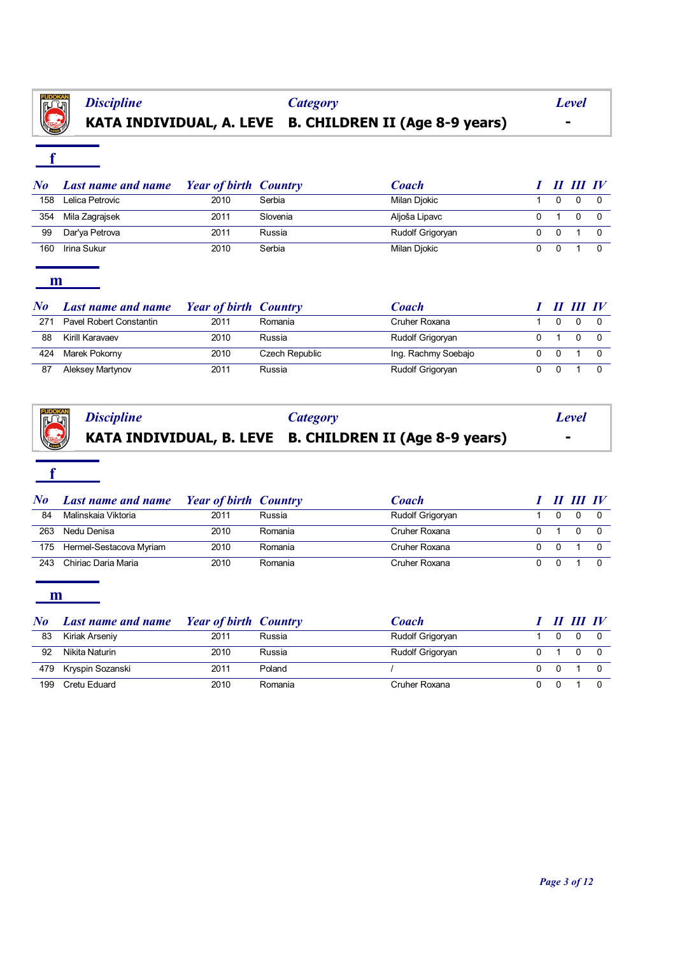

# **KATA INDIVIDUAL, A. LEVE B. CHILDREN II (Age 8-9 years) -**

## **f**

| No  | <b>Last name and name</b> | <b>Year of birth Country</b> |          | <b>Coach</b>     |   | $\bm{H}$ $\bm{H}$ $\bm{I}$ $\bm{V}$ |  |
|-----|---------------------------|------------------------------|----------|------------------|---|-------------------------------------|--|
| 158 | Lelica Petrovic           | 2010                         | Serbia   | Milan Djokic     |   |                                     |  |
| 354 | Mila Zagrajsek            | 2011                         | Slovenia | Aljoša Lipavc    |   |                                     |  |
| 99  | Dar'ya Petrova            | 2011                         | Russia   | Rudolf Grigoryan | 0 |                                     |  |
| 160 | Irina Sukur               | 2010                         | Serbia   | Milan Djokic     |   |                                     |  |

#### **m**

| $\bf{N}$ o | <b>Last name and name</b> | <b>Year of birth Country</b> |                | Coach               |  | III-IV |  |
|------------|---------------------------|------------------------------|----------------|---------------------|--|--------|--|
| 271        | Pavel Robert Constantin   | 2011                         | Romania        | Cruher Roxana       |  |        |  |
| 88         | Kirill Karavaev           | 2010                         | Russia         | Rudolf Grigoryan    |  |        |  |
| 424        | Marek Pokorny             | 2010                         | Czech Republic | Ing. Rachmy Soebajo |  |        |  |
| 87         | Aleksey Martynov          | 2011                         | Russia         | Rudolf Grigoryan    |  |        |  |

|  | Discipline Category<br><b>EXALCIARY RATA INDIVIDUAL, B. LEVE B. CHILDREN II (Age 8-9 years)</b> | Level                    |
|--|-------------------------------------------------------------------------------------------------|--------------------------|
|  |                                                                                                 | $\overline{\phantom{a}}$ |

## **f**

| No  | <b>Last name and name</b> | <b>Example 1</b> Year of birth Country |         | <b>Coach</b>     |  | II III IV |  |
|-----|---------------------------|----------------------------------------|---------|------------------|--|-----------|--|
| 84  | Malinskaia Viktoria       | 2011                                   | Russia  | Rudolf Grigoryan |  |           |  |
| 263 | Nedu Denisa               | 2010                                   | Romania | Cruher Roxana    |  |           |  |
| 175 | Hermel-Sestacova Myriam   | 2010                                   | Romania | Cruher Roxana    |  |           |  |
| 243 | Chiriac Daria Maria       | 2010                                   | Romania | Cruher Roxana    |  |           |  |

| No  | <b>Last name and name</b> | <b>Year of birth Country</b> |         | Coach            |  | $\bm{H}$ $\bm{H}\bm{I}$ $\bm{I}$ |  |
|-----|---------------------------|------------------------------|---------|------------------|--|----------------------------------|--|
| 83  | Kiriak Arseniy            | 2011                         | Russia  | Rudolf Grigoryan |  |                                  |  |
| 92  | Nikita Naturin            | 2010                         | Russia  | Rudolf Grigoryan |  |                                  |  |
|     | 479 Kryspin Sozanski      | 2011                         | Poland  |                  |  |                                  |  |
| 199 | Cretu Eduard              | 2010                         | Romania | Cruher Roxana    |  |                                  |  |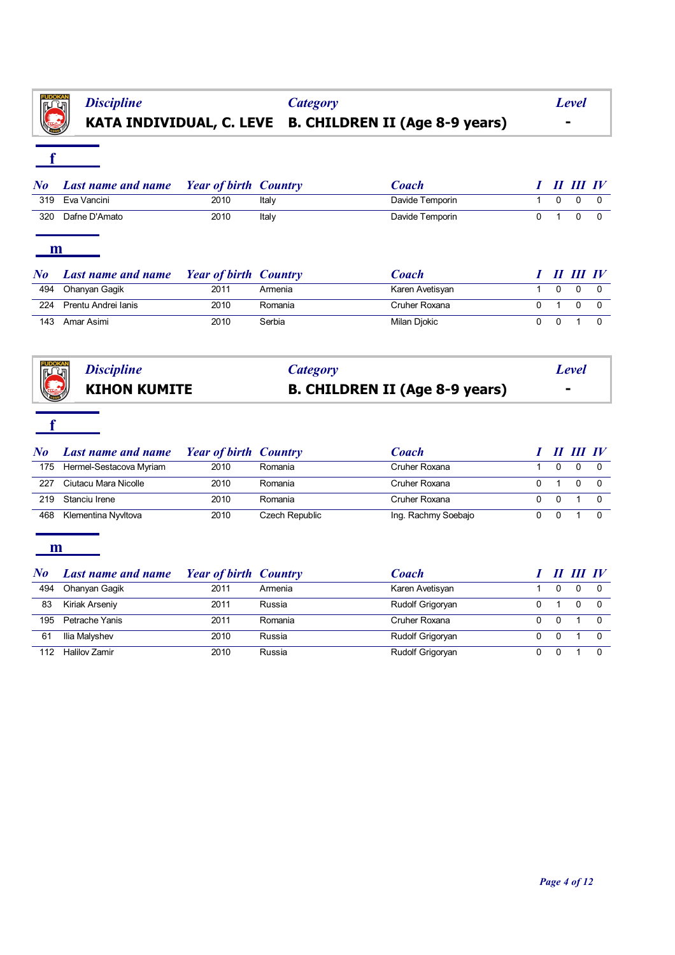

# **KATA INDIVIDUAL, C. LEVE B. CHILDREN II (Age 8-9 years) -**

# **f**

|     | No Last name and name Year of birth Country |      |       | <b>Coach</b>    |     | $I$ $I\!I$ $I\!I$ $I\!I$ $I\!V$ |  |
|-----|---------------------------------------------|------|-------|-----------------|-----|---------------------------------|--|
|     | 319 Eva Vancini                             | 2010 | Italv | Davide Temporin |     | 1000                            |  |
| 320 | Dafne D'Amato                               | 2010 | Italv | Davide Temporin | 0 1 | 0                               |  |

#### **m**

| $N_{0}$ | <b>Last name and name</b> Year of birth Country |      |         | Coach           |          | III III IV |  |
|---------|-------------------------------------------------|------|---------|-----------------|----------|------------|--|
| 494     | Ohanyan Gagik                                   | 2011 | Armenia | Karen Avetisyan | $\Omega$ | $\Omega$   |  |
| 224     | Prentu Andrei Ianis                             | 2010 | Romania | Cruher Roxana   |          |            |  |
| 143     | Amar Asimi                                      | 2010 | Serbia  | Milan Djokic    |          |            |  |



## **KIHON KUMITE B. CHILDREN II (Age 8-9 years) -** *Discipline Category Level*

# **f**

| $\bf{N}$ o | <b>Last name and name</b> | <b>Year of birth Country</b> |                | Coach               |                | II III IV    |  |
|------------|---------------------------|------------------------------|----------------|---------------------|----------------|--------------|--|
| 175        | Hermel-Sestacova Myriam   | 2010                         | Romania        | Cruher Roxana       | n              | <sup>n</sup> |  |
| 227        | Ciutacu Mara Nicolle      | 2010                         | Romania        | Cruher Roxana       |                | <sup>n</sup> |  |
| 219        | Stanciu Irene             | 2010                         | Romania        | Cruher Roxana       | $\overline{0}$ |              |  |
| 468        | Klementina Nyvltova       | 2010                         | Czech Republic | Ing. Rachmy Soebajo |                |              |  |

| $\bf{N}$ o | <b>Last name and name</b> | <b>Year of birth Country</b> |         | Coach            |  | III IV |
|------------|---------------------------|------------------------------|---------|------------------|--|--------|
| 494        | Ohanyan Gagik             | 2011                         | Armenia | Karen Avetisyan  |  |        |
| 83         | Kiriak Arseniy            | 2011                         | Russia  | Rudolf Grigoryan |  |        |
| 195        | Petrache Yanis            | 2011                         | Romania | Cruher Roxana    |  |        |
| 61         | Ilia Malyshev             | 2010                         | Russia  | Rudolf Grigoryan |  |        |
| 112        | <b>Halilov Zamir</b>      | 2010                         | Russia  | Rudolf Grigoryan |  |        |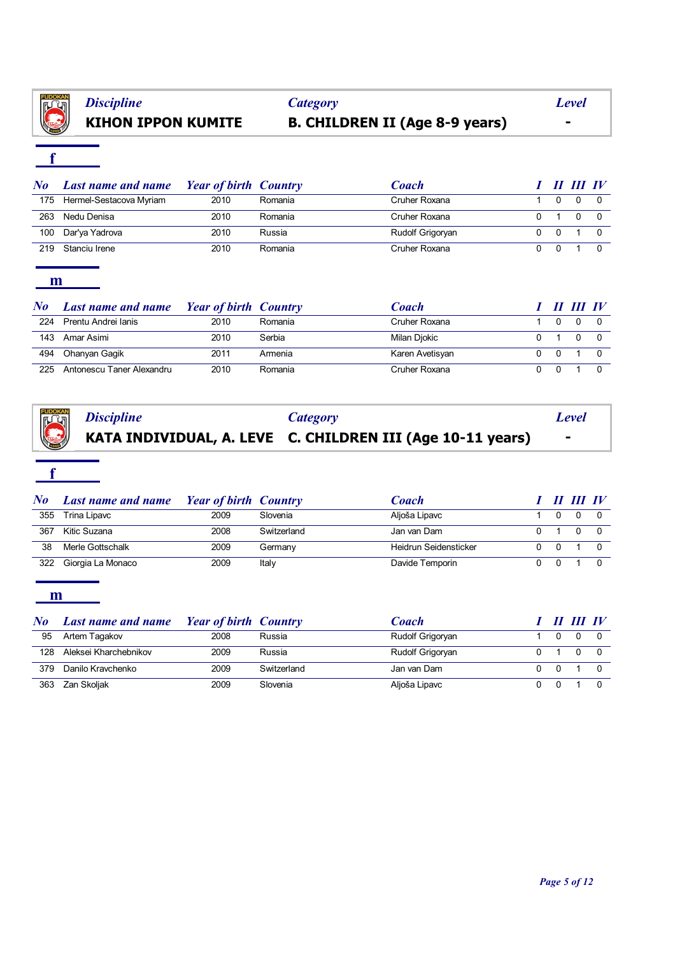

# **KIHON IPPON KUMITE B. CHILDREN II (Age 8-9 years) -**

# **f**

| $N_{\boldsymbol{0}}$ | <b>Last name and name</b> | <b>Year of birth Country</b> |         | Coach            |     | $\bm{H}$ $\bm{H}\bm{I}$ $\bm{I}$ |  |
|----------------------|---------------------------|------------------------------|---------|------------------|-----|----------------------------------|--|
| 175                  | Hermel-Sestacova Myriam   | 2010                         | Romania | Cruher Roxana    |     |                                  |  |
| 263                  | Nedu Denisa               | 2010                         | Romania | Cruher Roxana    |     |                                  |  |
| 100                  | Dar'ya Yadrova            | 2010                         | Russia  | Rudolf Grigoryan | - 0 |                                  |  |
| 219                  | Stanciu Irene             | 2010                         | Romania | Cruher Roxana    |     |                                  |  |

### **m**

| $\bm{N}$ o | <b>Last name and name</b> | <b>Year of birth Country</b> |         | Coach           |          | II III IV |  |
|------------|---------------------------|------------------------------|---------|-----------------|----------|-----------|--|
| 224        | Prentu Andrei Ianis       | 2010                         | Romania | Cruher Roxana   |          |           |  |
| 143        | Amar Asimi                | 2010                         | Serbia  | Milan Djokic    |          |           |  |
| 494        | Ohanyan Gaqik             | 2011                         | Armenia | Karen Avetisyan | $\Omega$ |           |  |
| 225        | Antonescu Taner Alexandru | 2010                         | Romania | Cruher Roxana   |          |           |  |

|  |                                                                                          | Level          |
|--|------------------------------------------------------------------------------------------|----------------|
|  | Discipline Category<br><b>KATA INDIVIDUAL, A. LEVE C. CHILDREN III (Age 10-11 years)</b> | $\blacksquare$ |

## **f**

| No  | <b>Last name and name</b> | <b>Year of birth Country</b> |             | Coach                 |     | II III IV |  |
|-----|---------------------------|------------------------------|-------------|-----------------------|-----|-----------|--|
| 355 | Trina Lipavc              | 2009                         | Slovenia    | Aljoša Lipavc         |     |           |  |
| 367 | Kitic Suzana              | 2008                         | Switzerland | Jan van Dam           |     |           |  |
| 38  | Merle Gottschalk          | 2009                         | Germany     | Heidrun Seidensticker | - 0 |           |  |
| 322 | Giorgia La Monaco         | 2009                         | Italy       | Davide Temporin       |     |           |  |

| $\bm{No}$ | <b>Last name and name</b> | <b>Year of birth Country</b> |             | Coach            |          | II III IV |  |
|-----------|---------------------------|------------------------------|-------------|------------------|----------|-----------|--|
| 95        | Artem Tagakov             | 2008                         | Russia      | Rudolf Grigoryan |          |           |  |
| 128       | Aleksei Kharchebnikov     | 2009                         | Russia      | Rudolf Grigoryan |          |           |  |
| 379       | Danilo Kravchenko         | 2009                         | Switzerland | Jan van Dam      | $\Omega$ |           |  |
| 363       | Zan Skoljak               | 2009                         | Slovenia    | Aljoša Lipavc    |          |           |  |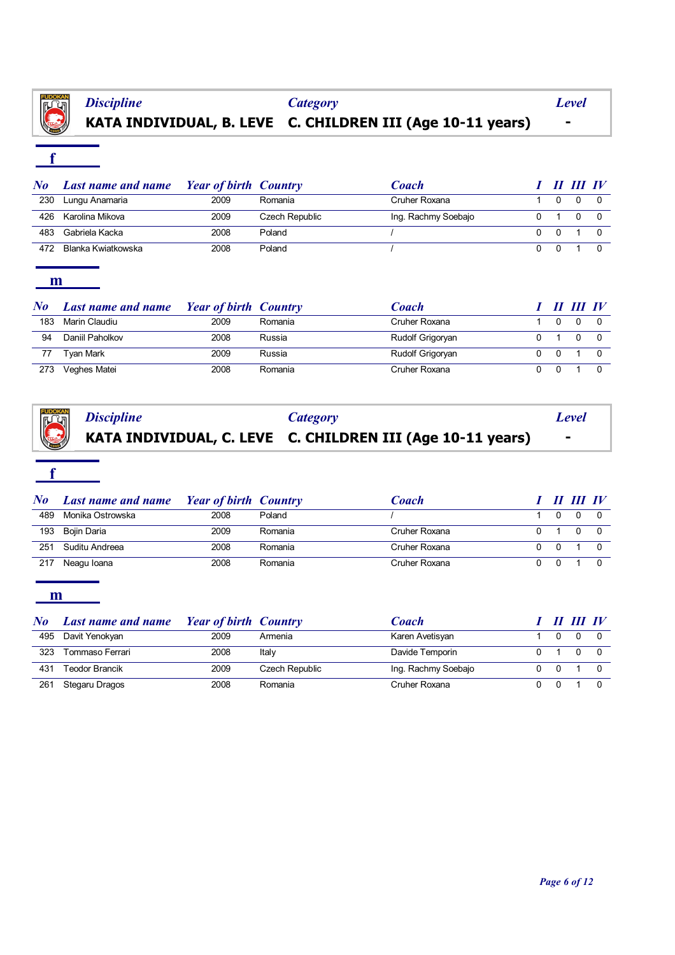

# **KATA INDIVIDUAL, B. LEVE C. CHILDREN III (Age 10-11 years) -**

# **f**

| $\bm{No}$ | <b>Last name and name</b> | <b>Example 18 Year of birth Country</b> |                | <b>Coach</b>        |          | II III IV |  |
|-----------|---------------------------|-----------------------------------------|----------------|---------------------|----------|-----------|--|
| 230       | Lungu Anamaria            | 2009                                    | Romania        | Cruher Roxana       |          | $\Omega$  |  |
| 426       | Karolina Mikova           | 2009                                    | Czech Republic | Ing. Rachmy Soebajo |          | $\Omega$  |  |
| 483       | Gabriela Kacka            | 2008                                    | Poland         |                     | $\Omega$ |           |  |
| 472       | Blanka Kwiatkowska        | 2008                                    | Poland         |                     |          |           |  |

### **m**

| N o | <b>Last name and name</b> | <b>Year of birth Country</b> |         | Coach            |  | $\bm{H}$ $\bm{H}\bm{I}$ $\bm{I}$ |  |
|-----|---------------------------|------------------------------|---------|------------------|--|----------------------------------|--|
| 183 | Marin Claudiu             | 2009                         | Romania | Cruher Roxana    |  |                                  |  |
| 94  | Daniil Paholkov           | 2008                         | Russia  | Rudolf Grigoryan |  |                                  |  |
|     | Tvan Mark                 | 2009                         | Russia  | Rudolf Grigoryan |  |                                  |  |
| 273 | Veghes Matei              | 2008                         | Romania | Cruher Roxana    |  |                                  |  |

|  | Discipline Category<br><b>KATA INDIVIDUAL, C. LEVE C. CHILDREN III (Age 10-11 years)</b> | Level     |
|--|------------------------------------------------------------------------------------------|-----------|
|  |                                                                                          | $\,$ $\,$ |

## **f**

| $\bf{N}$ o | <b>Last name and name</b> Year of birth Country |      |         | Coach         |  | II III IV |  |
|------------|-------------------------------------------------|------|---------|---------------|--|-----------|--|
| 489        | Monika Ostrowska                                | 2008 | Poland  |               |  |           |  |
| 193        | Bojin Daria                                     | 2009 | Romania | Cruher Roxana |  |           |  |
| 251        | Suditu Andreea                                  | 2008 | Romania | Cruher Roxana |  |           |  |
| 217        | Neagu Ioana                                     | 2008 | Romania | Cruher Roxana |  |           |  |

| No  | <b>Last name and name</b> | <b>Year of birth Country</b> |                | <b>Coach</b>        |  | II III IV |  |
|-----|---------------------------|------------------------------|----------------|---------------------|--|-----------|--|
| 495 | Davit Yenokyan            | 2009                         | Armenia        | Karen Avetisyan     |  |           |  |
| 323 | Tommaso Ferrari           | 2008                         | Italy          | Davide Temporin     |  |           |  |
| 431 | <b>Teodor Brancik</b>     | 2009                         | Czech Republic | Ing. Rachmy Soebajo |  |           |  |
| 261 | Stegaru Dragos            | 2008                         | Romania        | Cruher Roxana       |  |           |  |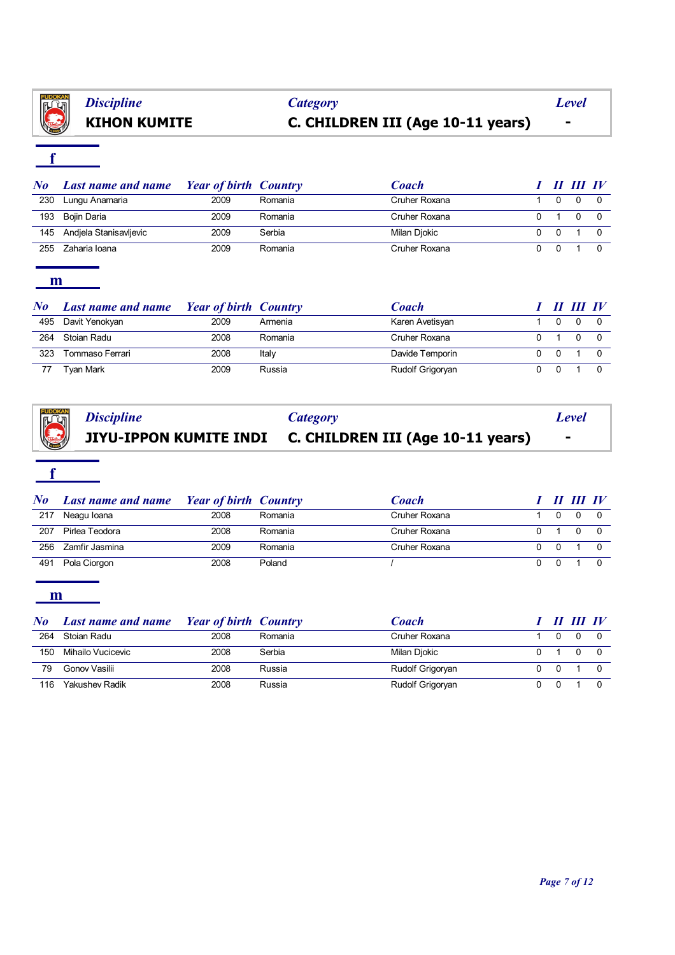

# **KIHON KUMITE C. CHILDREN III (Age 10-11 years) -** *Discipline Category Level*

# **f**

| $\bm{N}$ o | <b>Last name and name</b> | <b>Year of birth Country</b> |         | Coach         |  | $III$ IV |  |
|------------|---------------------------|------------------------------|---------|---------------|--|----------|--|
| 230        | Lungu Anamaria            | 2009                         | Romania | Cruher Roxana |  |          |  |
| 193        | Boiin Daria               | 2009                         | Romania | Cruher Roxana |  |          |  |
| 145        | Andjela Stanisavljevic    | 2009                         | Serbia  | Milan Djokic  |  |          |  |
| 255        | Zaharia Ioana             | 2009                         | Romania | Cruher Roxana |  |          |  |

#### **m**

| $N\bm{o}$ | <b>Last name and name</b> | <b>Year of birth Country</b> |         | Coach            |  | II III IV |  |
|-----------|---------------------------|------------------------------|---------|------------------|--|-----------|--|
| 495       | Davit Yenokyan            | 2009                         | Armenia | Karen Avetisyan  |  |           |  |
| 264       | Stoian Radu               | 2008                         | Romania | Cruher Roxana    |  |           |  |
| 323       | Tommaso Ferrari           | 2008                         | Italy   | Davide Temporin  |  |           |  |
| -77       | <b>Tyan Mark</b>          | 2009                         | Russia  | Rudolf Grigoryan |  |           |  |

|  | <i>Category</i><br><b>Category</b> <i>Discipline</i><br><b>C. CHILDREN III (Age 10-11 years)</b><br><b>C. CHILDREN III (Age 10-11 years)</b> | Level                    |
|--|----------------------------------------------------------------------------------------------------------------------------------------------|--------------------------|
|  |                                                                                                                                              | $\overline{\phantom{0}}$ |

### **f**

| $\bm{No}$ | <b>Last name and name</b> Year of birth Country |      |         | <b>Coach</b>  |          | III III IV |  |
|-----------|-------------------------------------------------|------|---------|---------------|----------|------------|--|
| 217       | Neagu Ioana                                     | 2008 | Romania | Cruher Roxana |          |            |  |
| 207       | Pirlea Teodora                                  | 2008 | Romania | Cruher Roxana |          |            |  |
| 256       | Zamfir Jasmina                                  | 2009 | Romania | Cruher Roxana | $\Omega$ |            |  |
| 491       | Pola Ciorgon                                    | 2008 | Poland  |               |          |            |  |

| No  | <b>Last name and name</b> | <b>Year of birth Country</b> |         | Coach            |  | II III IV |  |
|-----|---------------------------|------------------------------|---------|------------------|--|-----------|--|
| 264 | Stoian Radu               | 2008                         | Romania | Cruher Roxana    |  |           |  |
| 150 | Mihailo Vucicevic         | 2008                         | Serbia  | Milan Djokic     |  |           |  |
| 79  | Gonov Vasilii             | 2008                         | Russia  | Rudolf Grigoryan |  |           |  |
| 116 | Yakushev Radik            | 2008                         | Russia  | Rudolf Grigoryan |  |           |  |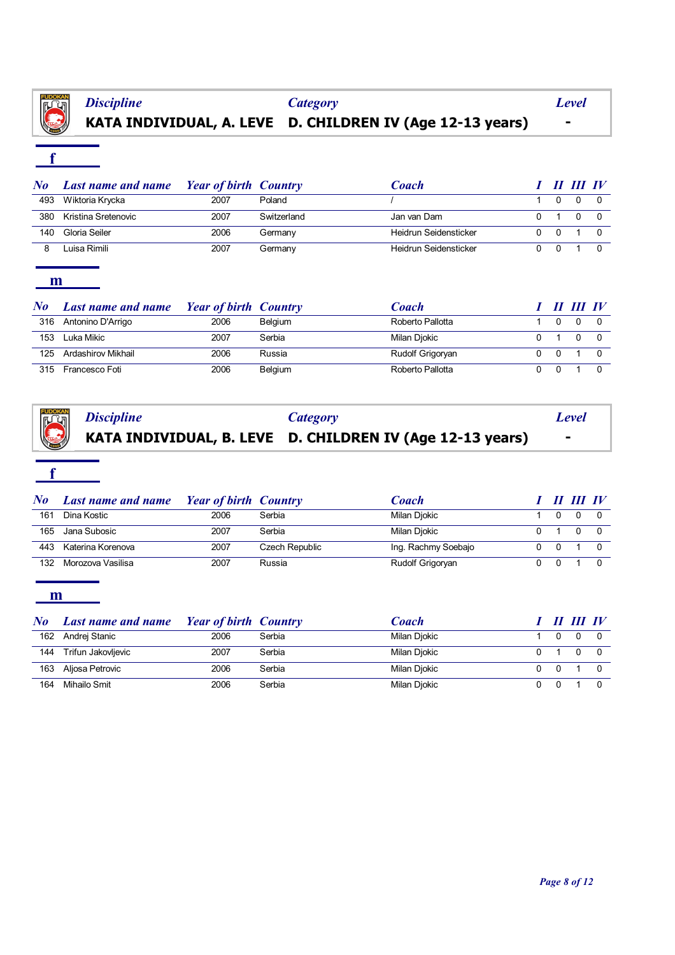

# **KATA INDIVIDUAL, A. LEVE D. CHILDREN IV (Age 12-13 years) -** *Discipline Category Level*

# **f**

| $\bm{N}$ o | <b>Last name and name</b> | <b>Example 1</b> Year of birth Country |             | <b>Coach</b>          |  | II III IV |  |
|------------|---------------------------|----------------------------------------|-------------|-----------------------|--|-----------|--|
| 493        | Wiktoria Krycka           | 2007                                   | Poland      |                       |  |           |  |
| 380        | Kristina Sretenovic       | 2007                                   | Switzerland | Jan van Dam           |  |           |  |
| 140        | Gloria Seiler             | 2006                                   | Germany     | Heidrun Seidensticker |  |           |  |
|            | Luisa Rimili              | 2007                                   | Germany     | Heidrun Seidensticker |  |           |  |

#### **m**

| No  | <b>Last name and name</b> | <b>Example 1</b> Year of birth Country |         | Coach            |  | II III IV |  |
|-----|---------------------------|----------------------------------------|---------|------------------|--|-----------|--|
| 316 | Antonino D'Arrigo         | 2006                                   | Belgium | Roberto Pallotta |  |           |  |
| 153 | Luka Mikic                | 2007                                   | Serbia  | Milan Djokic     |  |           |  |
| 125 | Ardashirov Mikhail        | 2006                                   | Russia  | Rudolf Grigoryan |  |           |  |
| 315 | Francesco Foti            | 2006                                   | Belgium | Roberto Pallotta |  |           |  |

|  |                                                                                         | Level          |
|--|-----------------------------------------------------------------------------------------|----------------|
|  | Discipline Category<br><b>KATA INDIVIDUAL, B. LEVE D. CHILDREN IV (Age 12-13 years)</b> | $\blacksquare$ |

## **f**

| $\bf{N}$ o | <b>Last name and name</b> | <b>Year of birth Country</b> |                | Coach               |   | II III IV |  |
|------------|---------------------------|------------------------------|----------------|---------------------|---|-----------|--|
| 161        | Dina Kostic               | 2006                         | Serbia         | Milan Djokic        |   |           |  |
| 165        | Jana Subosic              | 2007                         | Serbia         | Milan Djokic        |   |           |  |
| 443        | Katerina Korenova         | 2007                         | Czech Republic | Ing. Rachmy Soebajo | 0 |           |  |
| 132        | Morozova Vasilisa         | 2007                         | Russia         | Rudolf Grigoryan    |   |           |  |

| $\bf{N}$ o | <b>Last name and name</b> | <b>Year of birth Country</b> |        | Coach        |          | II III IV |  |
|------------|---------------------------|------------------------------|--------|--------------|----------|-----------|--|
| 162        | Andrei Stanic             | 2006                         | Serbia | Milan Djokic |          |           |  |
| 144        | Trifun Jakovljevic        | 2007                         | Serbia | Milan Djokic |          |           |  |
| 163        | Aljosa Petrovic           | 2006                         | Serbia | Milan Djokic | $\Omega$ |           |  |
| 164        | Mihailo Smit              | 2006                         | Serbia | Milan Djokic |          |           |  |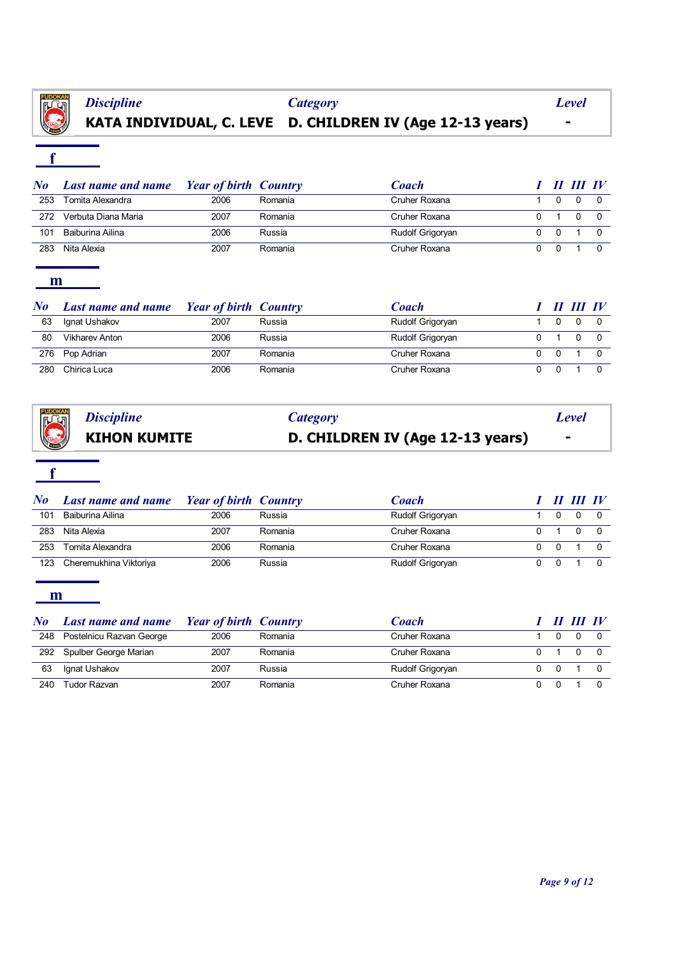

# **KATA INDIVIDUAL, C. LEVE D. CHILDREN IV (Age 12-13 years) -**

# **f**

| $\bm{No}$ | <b>Last name and name</b> | <b>Year of birth Country</b> |         | <b>Coach</b>     |  | II III IV |  |
|-----------|---------------------------|------------------------------|---------|------------------|--|-----------|--|
| 253       | Tomita Alexandra          | 2006                         | Romania | Cruher Roxana    |  |           |  |
| 272       | Verbuta Diana Maria       | 2007                         | Romania | Cruher Roxana    |  |           |  |
| 101       | Baiburina Ailina          | 2006                         | Russia  | Rudolf Grigoryan |  |           |  |
| 283       | Nita Alexia               | 2007                         | Romania | Cruher Roxana    |  |           |  |

#### **m**

| $\bm{No}$ | <b>Last name and name</b> | <b>Year of birth Country</b> |         | Coach            |  | II III IV |  |
|-----------|---------------------------|------------------------------|---------|------------------|--|-----------|--|
| 63        | Ignat Ushakov             | 2007                         | Russia  | Rudolf Grigoryan |  |           |  |
| 80        | <b>Vikharev Anton</b>     | 2006                         | Russia  | Rudolf Grigoryan |  |           |  |
| 276       | Pop Adrian                | 2007                         | Romania | Cruher Roxana    |  |           |  |
| 280       | Chirica Luca              | 2006                         | Romania | Cruher Roxana    |  |           |  |

|                                              | Category                         | <b>Level</b> |
|----------------------------------------------|----------------------------------|--------------|
| Discipline<br>KIHON K<br><b>KIHON KUMITE</b> | D. CHILDREN IV (Age 12-13 years) |              |

## **f**

| $\bf{N}$ o | <b>Last name and name</b> | <b>Priciple 1</b> Year of birth Country |         | Coach            |  | II III IV |  |
|------------|---------------------------|-----------------------------------------|---------|------------------|--|-----------|--|
| 101        | Baiburina Ailina          | 2006                                    | Russia  | Rudolf Grigoryan |  |           |  |
| 283        | Nita Alexia               | 2007                                    | Romania | Cruher Roxana    |  |           |  |
| 253        | Tomita Alexandra          | 2006                                    | Romania | Cruher Roxana    |  |           |  |
| 123        | Cheremukhina Viktoriya    | 2006                                    | Russia  | Rudolf Grigoryan |  |           |  |

| No  | <b>Last name and name</b> | <b>Year of birth Country</b> |         | Coach            |  | II III IV |  |
|-----|---------------------------|------------------------------|---------|------------------|--|-----------|--|
| 248 | Postelnicu Razvan George  | 2006                         | Romania | Cruher Roxana    |  |           |  |
|     | 292 Spulber George Marian | 2007                         | Romania | Cruher Roxana    |  |           |  |
| 63  | Ignat Ushakov             | 2007                         | Russia  | Rudolf Grigoryan |  |           |  |
| 240 | Tudor Razvan              | 2007                         | Romania | Cruher Roxana    |  |           |  |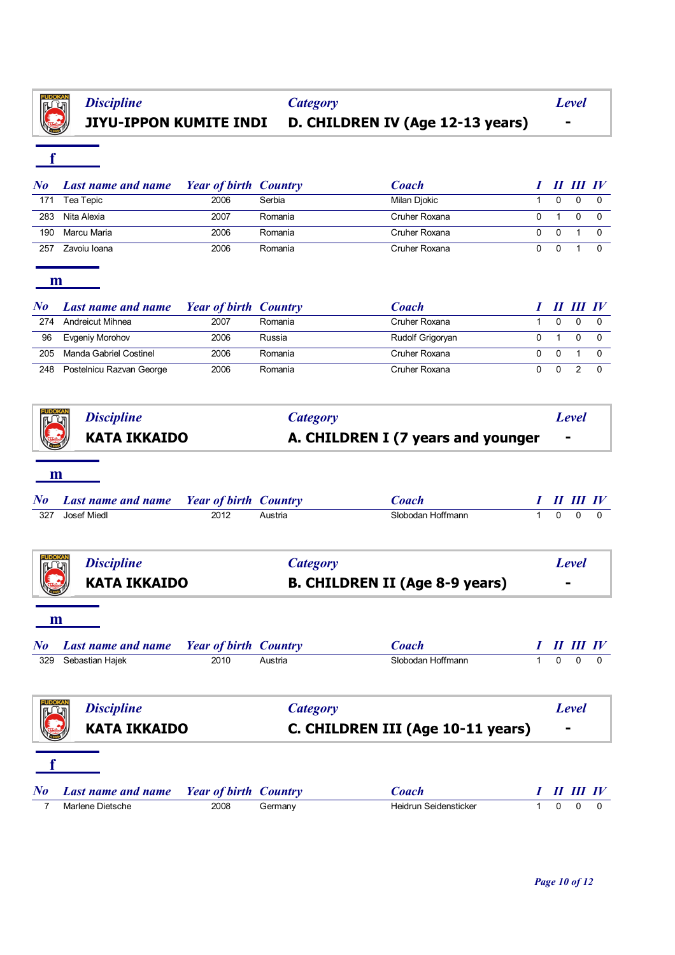

# **JIYU-IPPON KUMITE INDI D. CHILDREN IV (Age 12-13 years) -** *Discipline Category Level*

**f**

| No  | <b>Last name and name</b> | <b>Price 1</b> Year of birth Country |         | <b>Coach</b>  |              | II III IV |  |
|-----|---------------------------|--------------------------------------|---------|---------------|--------------|-----------|--|
| 171 | Tea Tepic                 | 2006                                 | Serbia  | Milan Djokic  | 0            |           |  |
| 283 | Nita Alexia               | 2007                                 | Romania | Cruher Roxana |              |           |  |
| 190 | Marcu Maria               | 2006                                 | Romania | Cruher Roxana | $\Omega$     |           |  |
| 257 | Zavoiu Ioana              | 2006                                 | Romania | Cruher Roxana | $\mathbf{U}$ |           |  |

**m**

| $N\bm{o}$ | <b>Last name and name</b> | <b>Year of birth Country</b> |         | Coach            |  | TIL IV |  |
|-----------|---------------------------|------------------------------|---------|------------------|--|--------|--|
| 274       | Andreicut Mihnea          | 2007                         | Romania | Cruher Roxana    |  |        |  |
| 96        | Evgeniy Morohov           | 2006                         | Russia  | Rudolf Grigoryan |  |        |  |
| 205       | Manda Gabriel Costinel    | 2006                         | Romania | Cruher Roxana    |  |        |  |
| 248       | Postelnicu Razvan George  | 2006                         | Romania | Cruher Roxana    |  |        |  |

| m<br>$\bm{N}$ o<br>Josef Miedl<br>327 | <b>KATA IKKAIDO</b><br><b>Last name and name</b>             |                              | A. CHILDREN I (7 years and younger |              |          |                                  |          |  |
|---------------------------------------|--------------------------------------------------------------|------------------------------|------------------------------------|--------------|----------|----------------------------------|----------|--|
|                                       |                                                              |                              |                                    |              |          |                                  |          |  |
|                                       |                                                              |                              |                                    |              |          |                                  |          |  |
|                                       |                                                              | <b>Year of birth Country</b> | <b>Coach</b>                       |              |          | II III IV                        |          |  |
|                                       | 2012                                                         | Austria                      | Slobodan Hoffmann                  | 1            | $\Omega$ | $\Omega$                         | $\Omega$ |  |
|                                       | <b>Discipline</b>                                            | <b>Category</b>              |                                    |              |          | <b>Level</b>                     |          |  |
|                                       | <b>KATA IKKAIDO</b><br><b>B. CHILDREN II (Age 8-9 years)</b> |                              |                                    |              |          |                                  |          |  |
| m<br>$N_{0}$                          | <b>Last name and name</b>                                    | <b>Year of birth Country</b> | Coach                              |              |          | $\bm{H}$ $\bm{H}\bm{I}$ $\bm{I}$ |          |  |
| Sebastian Hajek<br>329                | 2010                                                         | Austria                      | Slobodan Hoffmann                  | $\mathbf{1}$ | $\Omega$ | $\Omega$                         | $\Omega$ |  |
|                                       | <b>Discipline</b>                                            | <b>Category</b>              |                                    |              |          | <b>Level</b>                     |          |  |
|                                       | <b>KATA IKKAIDO</b>                                          |                              | C. CHILDREN III (Age 10-11 years)  |              |          |                                  |          |  |

*No Last name and name Year of birth Country Coach I II III IV* 7 Marlene Dietsche 2008 Germany Heidrun Seidensticker 1 0 0 0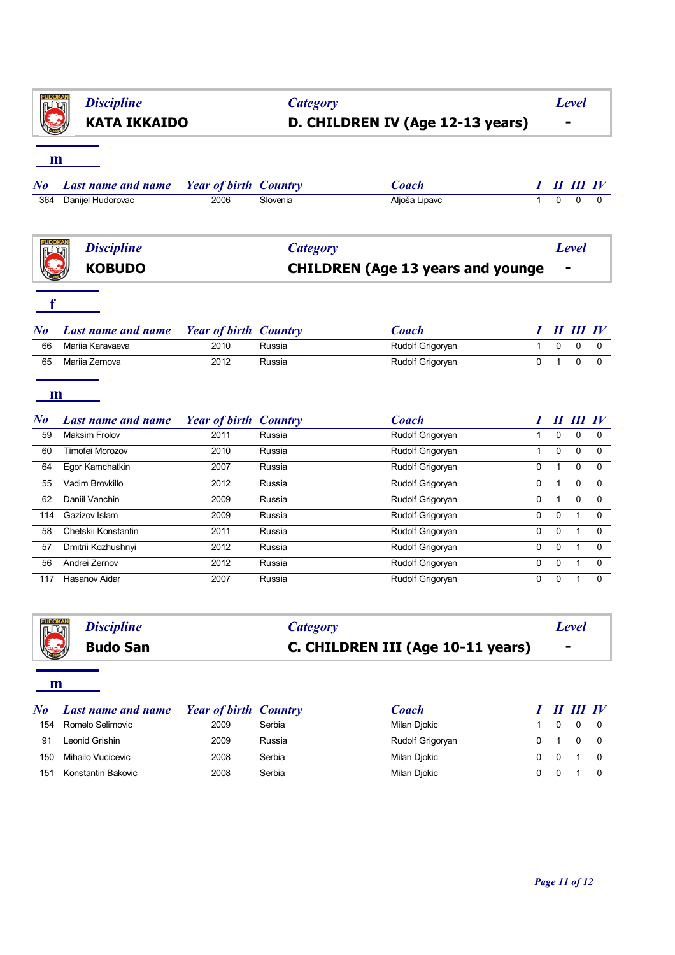|                            | <b>Discipline</b>         |                                      | <b>Category</b> |                                          |              |              | <b>Level</b>     |                  |  |
|----------------------------|---------------------------|--------------------------------------|-----------------|------------------------------------------|--------------|--------------|------------------|------------------|--|
| <b>KATA IKKAIDO</b>        |                           | D. CHILDREN IV (Age 12-13 years)     |                 |                                          |              |              |                  |                  |  |
| m                          |                           |                                      |                 |                                          |              |              |                  |                  |  |
| $\bm{No}$                  | <b>Last name and name</b> | <b>Year of birth Country</b>         |                 | <b>Coach</b>                             |              |              | 11 111 IV        |                  |  |
| 364                        | Danijel Hudorovac         | 2006                                 | Slovenia        | Aljoša Lipavc                            | $\mathbf{1}$ | $\mathbf 0$  | $\Omega$         | 0                |  |
|                            | <b>Discipline</b>         |                                      | <b>Category</b> |                                          |              |              | <b>Level</b>     |                  |  |
|                            | <b>KOBUDO</b>             |                                      |                 | <b>CHILDREN (Age 13 years and younge</b> |              |              |                  |                  |  |
|                            |                           |                                      |                 |                                          |              |              |                  |                  |  |
|                            |                           |                                      |                 |                                          |              |              |                  |                  |  |
|                            |                           |                                      |                 |                                          |              |              | <b>II III IV</b> |                  |  |
|                            | <b>Last name and name</b> | <b>Year of birth Country</b>         |                 | <b>Coach</b>                             | ı            |              |                  |                  |  |
| 66                         | Marija Karavaeva          | 2010                                 | Russia          | Rudolf Grigoryan                         | $\mathbf{1}$ | $\mathbf 0$  | 0                | 0                |  |
| 65                         | Mariia Zernova            | 2012                                 | Russia          | Rudolf Grigoryan                         | 0            | $\mathbf{1}$ | 0                | $\mathbf 0$      |  |
| m                          |                           |                                      |                 |                                          |              |              |                  |                  |  |
|                            | <b>Last name and name</b> |                                      |                 | <b>Coach</b>                             | Ι            |              | $II$ $III$ $IV$  |                  |  |
| 59                         | <b>Maksim Frolov</b>      | <b>Year of birth Country</b><br>2011 | Russia          | Rudolf Grigoryan                         | $\mathbf{1}$ | 0            | 0                | 0                |  |
| 60                         | Timofei Morozov           | 2010                                 | Russia          | Rudolf Grigoryan                         | $\mathbf{1}$ | $\mathbf 0$  | 0                |                  |  |
| 64                         | Egor Kamchatkin           | 2007                                 | Russia          | Rudolf Grigoryan                         | 0            | $\mathbf{1}$ | 0                | 0                |  |
| 55                         | Vadim Brovkillo           | 2012                                 | Russia          | Rudolf Grigoryan                         | 0            | $\mathbf{1}$ | 0                | 0                |  |
| 62                         | Daniil Vanchin            | 2009                                 | Russia          | Rudolf Grigoryan                         | 0            | $\mathbf{1}$ | 0                | 0                |  |
| 114                        | Gazizov Islam             | 2009                                 | Russia          | Rudolf Grigoryan                         | 0            | $\mathbf 0$  | $\mathbf{1}$     | 0                |  |
| 58                         | Chetskii Konstantin       | 2011                                 | Russia          | Rudolf Grigoryan                         | 0            | $\Omega$     | $\mathbf{1}$     | $\mathbf 0$<br>0 |  |
| 57                         | Dmitrii Kozhushnyi        | 2012                                 | Russia          | Rudolf Grigoryan                         | 0            | $\mathbf 0$  | $\mathbf{1}$     | $\pmb{0}$        |  |
| $\bm{N}$<br>$\bm{N}$<br>56 | Andrei Zernov             | 2012                                 | Russia          | Rudolf Grigoryan                         | 0            | $\pmb{0}$    | $\mathbf{1}$     | 0                |  |



| $\bf{N}$ o | <b>Last name and name</b> | <b>Price 1</b> Year of birth Country |        | Coach            |  | II III IV |  |
|------------|---------------------------|--------------------------------------|--------|------------------|--|-----------|--|
| 154        | Romelo Selimovic          | 2009                                 | Serbia | Milan Djokic     |  | $\Omega$  |  |
| 91         | Leonid Grishin            | 2009                                 | Russia | Rudolf Grigoryan |  | $\Omega$  |  |
| 150        | Mihailo Vucicevic         | 2008                                 | Serbia | Milan Djokic     |  |           |  |
| 151        | Konstantin Bakovic        | 2008                                 | Serbia | Milan Djokic     |  |           |  |